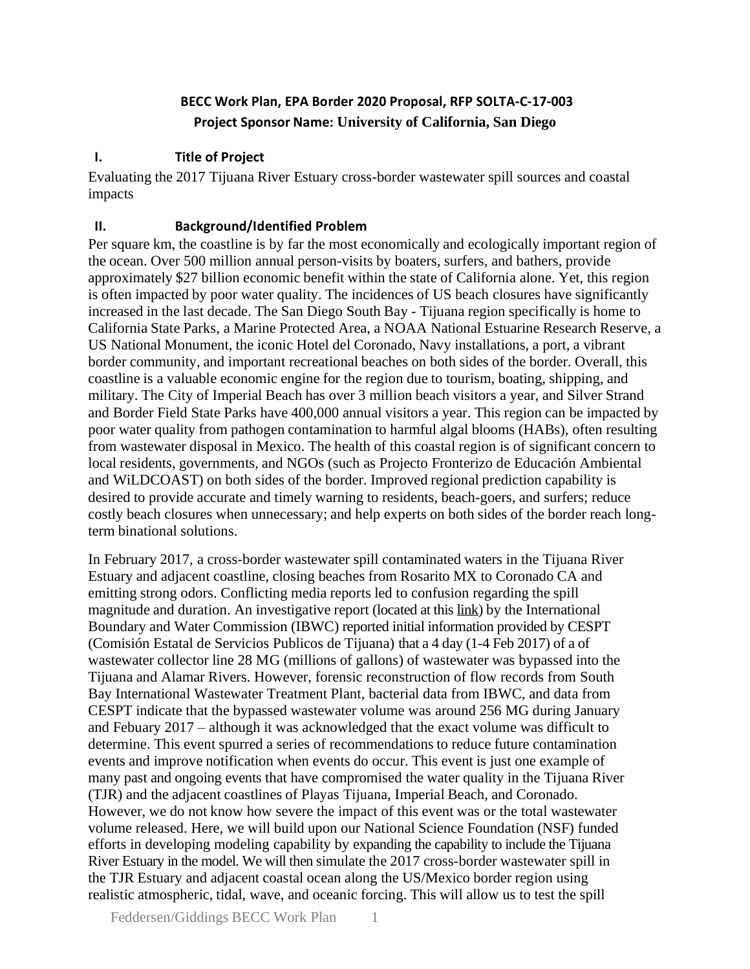# **BECC Work Plan, EPA Border 2020 Proposal, RFP SOLTA-C-17-003 Project Sponsor Name: University of California, San Diego**

#### **I. Title of Project**

Evaluating the 2017 Tijuana River Estuary cross-border wastewater spill sources and coastal impacts

#### **II. Background/Identified Problem**

Per square km, the coastline is by far the most economically and ecologically important region of the ocean. Over 500 million annual person-visits by boaters, surfers, and bathers, provide approximately \$27 billion economic benefit within the state of California alone. Yet, this region is often impacted by poor water quality. The incidences of US beach closures have significantly increased in the last decade. The San Diego South Bay - Tijuana region specifically is home to California State Parks, a Marine Protected Area, a NOAA National Estuarine Research Reserve, a US National Monument, the iconic Hotel del Coronado, Navy installations, a port, a vibrant border community, and important recreational beaches on both sides of the border. Overall, this coastline is a valuable economic engine for the region due to tourism, boating, shipping, and military. The City of Imperial Beach has over 3 million beach visitors a year, and Silver Strand and Border Field State Parks have 400,000 annual visitors a year. This region can be impacted by poor water quality from pathogen contamination to harmful algal blooms (HABs), often resulting from wastewater disposal in Mexico. The health of this coastal region is of significant concern to local residents, governments, and NGOs (such as Projecto Fronterizo de Educación Ambiental and WiLDCOAST) on both sides of the border. Improved regional prediction capability is desired to provide accurate and timely warning to residents, beach-goers, and surfers; reduce costly beach closures when unnecessary; and help experts on both sides of the border reach longterm binational solutions.

In February 2017, a cross-border wastewater spill contaminated waters in the Tijuana River Estuary and adjacent coastline, closing beaches from Rosarito MX to Coronado CA and emitting strong odors. Conflicting media reports led to confusion regarding the spill magnitude and duration. An investigative report (located at thi[s link\)](https://www.ibwc.gov/Files/Report_Trans_Bypass_Flows_Tijuana_033117.pdf) by the International Boundary and Water Commission (IBWC) reported initial information provided by CESPT (Comisión Estatal de Servicios Publicos de Tijuana) that a 4 day (1-4 Feb 2017) of a of wastewater collector line 28 MG (millions of gallons) of wastewater was bypassed into the Tijuana and Alamar Rivers. However, forensic reconstruction of flow records from South Bay International Wastewater Treatment Plant, bacterial data from IBWC, and data from CESPT indicate that the bypassed wastewater volume was around 256 MG during January and Febuary 2017 – although it was acknowledged that the exact volume was difficult to determine. This event spurred a series of recommendations to reduce future contamination events and improve notification when events do occur. This event is just one example of many past and ongoing events that have compromised the water quality in the Tijuana River (TJR) and the adjacent coastlines of Playas Tijuana, Imperial Beach, and Coronado. However, we do not know how severe the impact of this event was or the total wastewater volume released. Here, we will build upon our National Science Foundation (NSF) funded efforts in developing modeling capability by expanding the capability to include the Tijuana River Estuary in the model. We will then simulate the 2017 cross-border wastewater spill in the TJR Estuary and adjacent coastal ocean along the US/Mexico border region using realistic atmospheric, tidal, wave, and oceanic forcing. This will allow us to test the spill

Feddersen/Giddings BECC Work Plan 1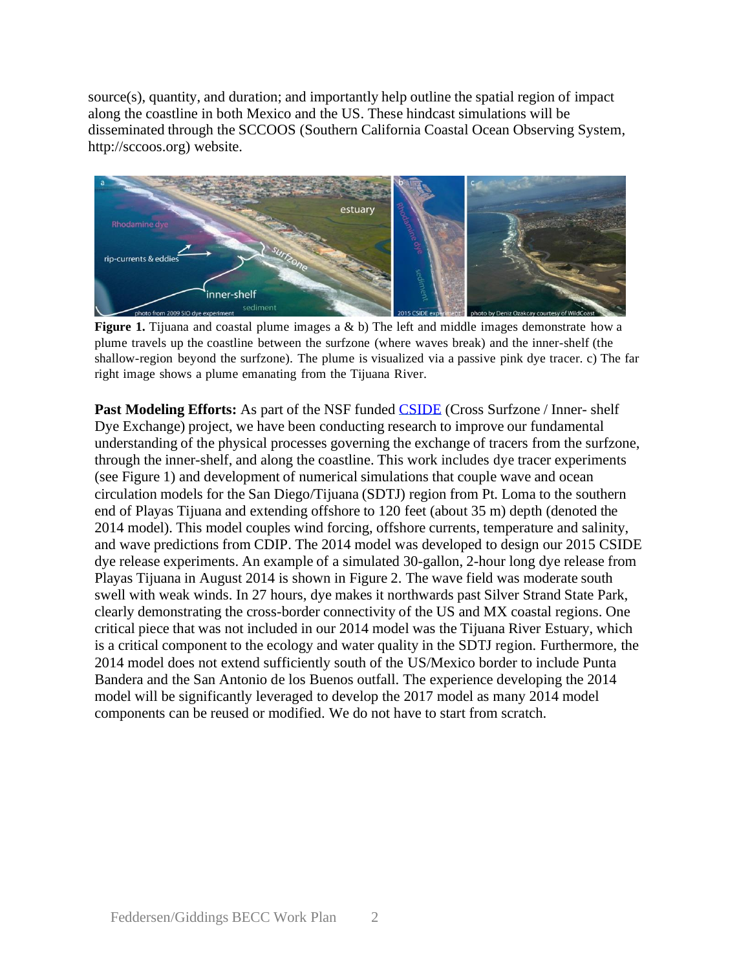source(s), quantity, and duration; and importantly help outline the spatial region of impact along the coastline in both Mexico and the US. These hindcast simulations will be disseminated through the SCCOOS (Southern California Coastal Ocean Observing System, http://sccoos.org) website.



**Figure 1.** Tijuana and coastal plume images a & b) The left and middle images demonstrate how a plume travels up the coastline between the surfzone (where waves break) and the inner-shelf (the shallow-region beyond the surfzone). The plume is visualized via a passive pink dye tracer. c) The far right image shows a plume emanating from the Tijuana River.

**Past Modeling Efforts:** As part of the NSF funded [CSIDE](https://scripps.ucsd.edu/projects/cside/) (Cross Surfzone / Inner- shelf Dye Exchange) project, we have been conducting research to improve our fundamental understanding of the physical processes governing the exchange of tracers from the surfzone, through the inner-shelf, and along the coastline. This work includes dye tracer experiments (see Figure 1) and development of numerical simulations that couple wave and ocean circulation models for the San Diego/Tijuana (SDTJ) region from Pt. Loma to the southern end of Playas Tijuana and extending offshore to 120 feet (about 35 m) depth (denoted the 2014 model). This model couples wind forcing, offshore currents, temperature and salinity, and wave predictions from CDIP. The 2014 model was developed to design our 2015 CSIDE dye release experiments. An example of a simulated 30-gallon, 2-hour long dye release from Playas Tijuana in August 2014 is shown in Figure 2. The wave field was moderate south swell with weak winds. In 27 hours, dye makes it northwards past Silver Strand State Park, clearly demonstrating the cross-border connectivity of the US and MX coastal regions. One critical piece that was not included in our 2014 model was the Tijuana River Estuary, which is a critical component to the ecology and water quality in the SDTJ region. Furthermore, the 2014 model does not extend sufficiently south of the US/Mexico border to include Punta Bandera and the San Antonio de los Buenos outfall. The experience developing the 2014 model will be significantly leveraged to develop the 2017 model as many 2014 model components can be reused or modified. We do not have to start from scratch.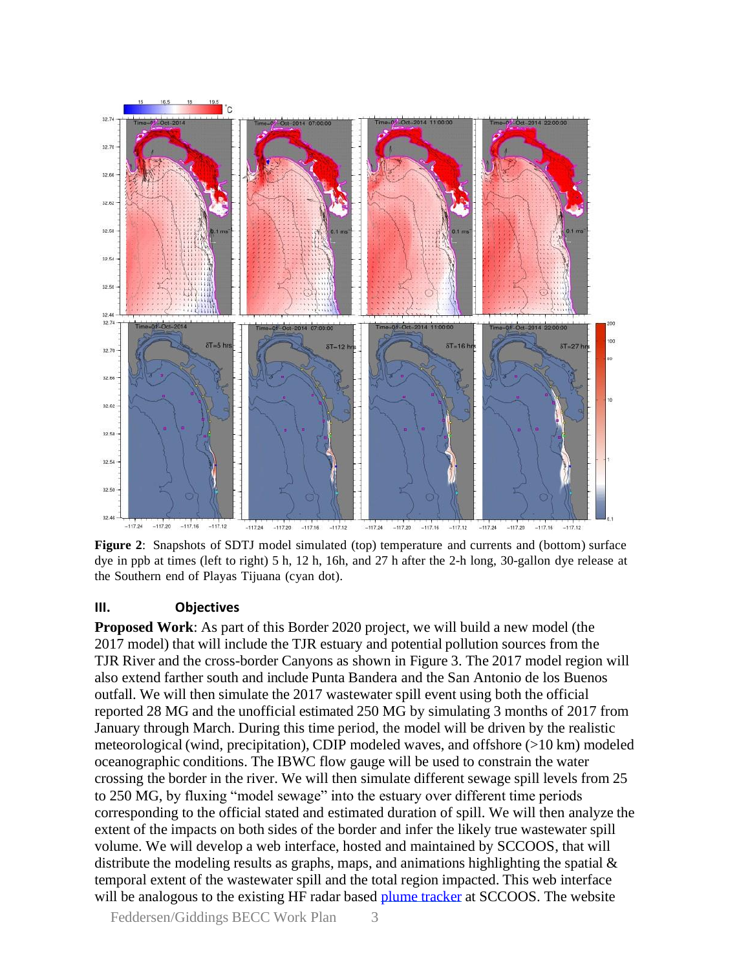

**Figure 2**: Snapshots of SDTJ model simulated (top) temperature and currents and (bottom) surface dye in ppb at times (left to right) 5 h, 12 h, 16h, and 27 h after the 2-h long, 30-gallon dye release at the Southern end of Playas Tijuana (cyan dot).

#### **III. Objectives**

**Proposed Work**: As part of this Border 2020 project, we will build a new model (the 2017 model) that will include the TJR estuary and potential pollution sources from the TJR River and the cross-border Canyons as shown in Figure 3. The 2017 model region will also extend farther south and include Punta Bandera and the San Antonio de los Buenos outfall. We will then simulate the 2017 wastewater spill event using both the official reported 28 MG and the unofficial estimated 250 MG by simulating 3 months of 2017 from January through March. During this time period, the model will be driven by the realistic meteorological (wind, precipitation), CDIP modeled waves, and offshore (>10 km) modeled oceanographic conditions. The IBWC flow gauge will be used to constrain the water crossing the border in the river. We will then simulate different sewage spill levels from 25 to 250 MG, by fluxing "model sewage" into the estuary over different time periods corresponding to the official stated and estimated duration of spill. We will then analyze the extent of the impacts on both sides of the border and infer the likely true wastewater spill volume. We will develop a web interface, hosted and maintained by SCCOOS, that will distribute the modeling results as graphs, maps, and animations highlighting the spatial  $\&$ temporal extent of the wastewater spill and the total region impacted. This web interface will be analogous to the existing HF radar based plume [tracker](http://www.sccoos.org/data/tracking/IB/) at SCCOOS. The website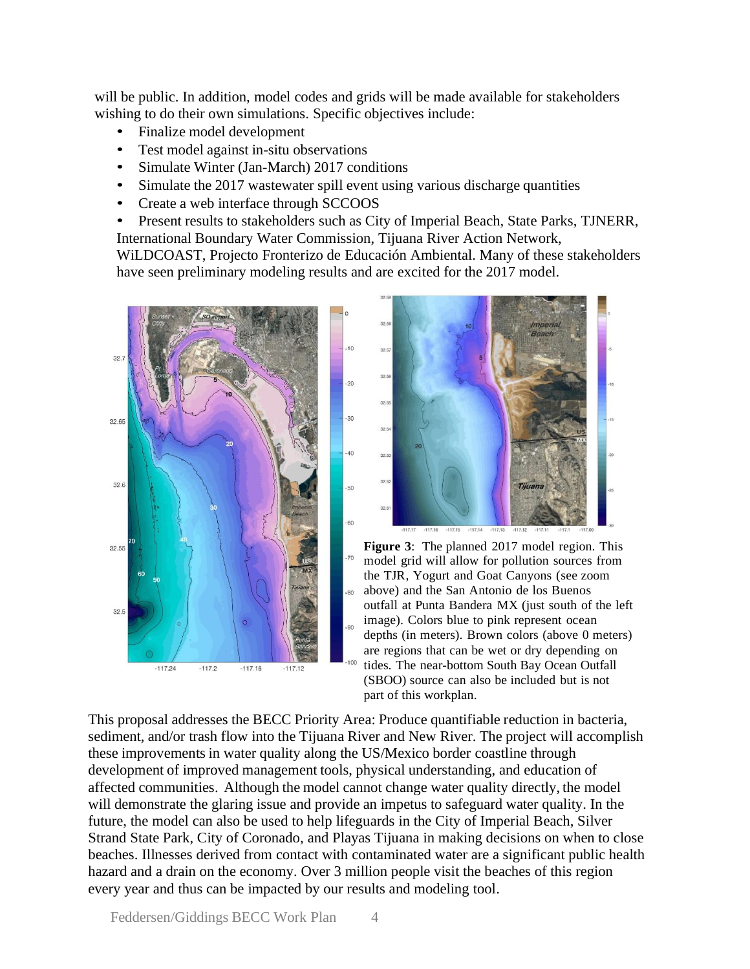will be public. In addition, model codes and grids will be made available for stakeholders wishing to do their own simulations. Specific objectives include:

- Finalize model development
- Test model against in-situ observations
- Simulate Winter (Jan-March) 2017 conditions
- Simulate the 2017 wastewater spill event using various discharge quantities
- Create a web interface through SCCOOS
- Present results to stakeholders such as City of Imperial Beach, State Parks, TJNERR, International Boundary Water Commission, Tijuana River Action Network,

WiLDCOAST, Projecto Fronterizo de Educación Ambiental. Many of these stakeholders have seen preliminary modeling results and are excited for the 2017 model.





**Figure 3**: The planned 2017 model region. This model grid will allow for pollution sources from the TJR, Yogurt and Goat Canyons (see zoom  $80$ above) and the San Antonio de los Buenos outfall at Punta Bandera MX (just south of the left image). Colors blue to pink represent ocean depths (in meters). Brown colors (above 0 meters) are regions that can be wet or dry depending on tides. The near-bottom South Bay Ocean Outfall (SBOO) source can also be included but is not part of this workplan.

This proposal addresses the BECC Priority Area: Produce quantifiable reduction in bacteria, sediment, and/or trash flow into the Tijuana River and New River. The project will accomplish these improvements in water quality along the US/Mexico border coastline through development of improved management tools, physical understanding, and education of affected communities. Although the model cannot change water quality directly, the model will demonstrate the glaring issue and provide an impetus to safeguard water quality. In the future, the model can also be used to help lifeguards in the City of Imperial Beach, Silver Strand State Park, City of Coronado, and Playas Tijuana in making decisions on when to close beaches. Illnesses derived from contact with contaminated water are a significant public health hazard and a drain on the economy. Over 3 million people visit the beaches of this region every year and thus can be impacted by our results and modeling tool.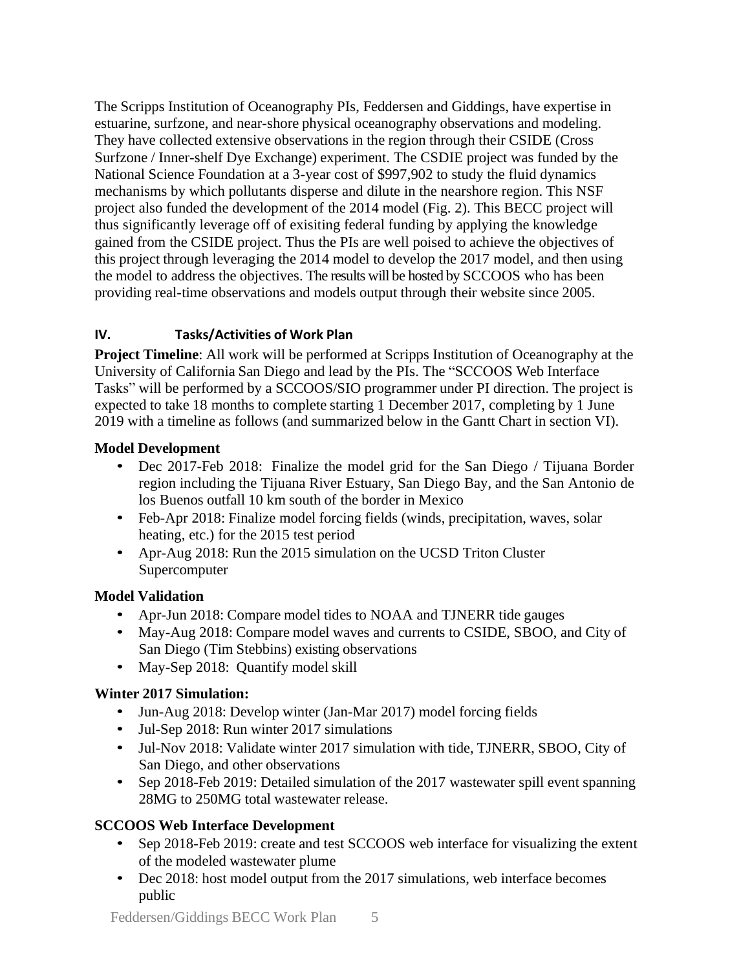The Scripps Institution of Oceanography PIs, Feddersen and Giddings, have expertise in estuarine, surfzone, and near-shore physical oceanography observations and modeling. They have collected extensive observations in the region through their CSIDE (Cross Surfzone / Inner-shelf Dye Exchange) experiment. The CSDIE project was funded by the National Science Foundation at a 3-year cost of \$997,902 to study the fluid dynamics mechanisms by which pollutants disperse and dilute in the nearshore region. This NSF project also funded the development of the 2014 model (Fig. 2). This BECC project will thus significantly leverage off of exisiting federal funding by applying the knowledge gained from the CSIDE project. Thus the PIs are well poised to achieve the objectives of this project through leveraging the 2014 model to develop the 2017 model, and then using the model to address the objectives. The results will be hosted by SCCOOS who has been providing real-time observations and models output through their website since 2005.

### **IV. Tasks/Activities of Work Plan**

**Project Timeline**: All work will be performed at Scripps Institution of Oceanography at the University of California San Diego and lead by the PIs. The "SCCOOS Web Interface Tasks" will be performed by a SCCOOS/SIO programmer under PI direction. The project is expected to take 18 months to complete starting 1 December 2017, completing by 1 June 2019 with a timeline as follows (and summarized below in the Gantt Chart in section VI).

### **Model Development**

- Dec 2017-Feb 2018: Finalize the model grid for the San Diego / Tijuana Border region including the Tijuana River Estuary, San Diego Bay, and the San Antonio de los Buenos outfall 10 km south of the border in Mexico
- Feb-Apr 2018: Finalize model forcing fields (winds, precipitation, waves, solar heating, etc.) for the 2015 test period
- Apr-Aug 2018: Run the 2015 simulation on the UCSD Triton Cluster Supercomputer

# **Model Validation**

- Apr-Jun 2018: Compare model tides to NOAA and TJNERR tide gauges
- May-Aug 2018: Compare model waves and currents to CSIDE, SBOO, and City of San Diego (Tim Stebbins) existing observations
- May-Sep 2018: Quantify model skill

# **Winter 2017 Simulation:**

- Jun-Aug 2018: Develop winter (Jan-Mar 2017) model forcing fields
- Jul-Sep 2018: Run winter 2017 simulations
- Jul-Nov 2018: Validate winter 2017 simulation with tide, TJNERR, SBOO, City of San Diego, and other observations
- Sep 2018-Feb 2019: Detailed simulation of the 2017 wastewater spill event spanning 28MG to 250MG total wastewater release.

# **SCCOOS Web Interface Development**

- Sep 2018-Feb 2019: create and test SCCOOS web interface for visualizing the extent of the modeled wastewater plume
- Dec 2018: host model output from the 2017 simulations, web interface becomes public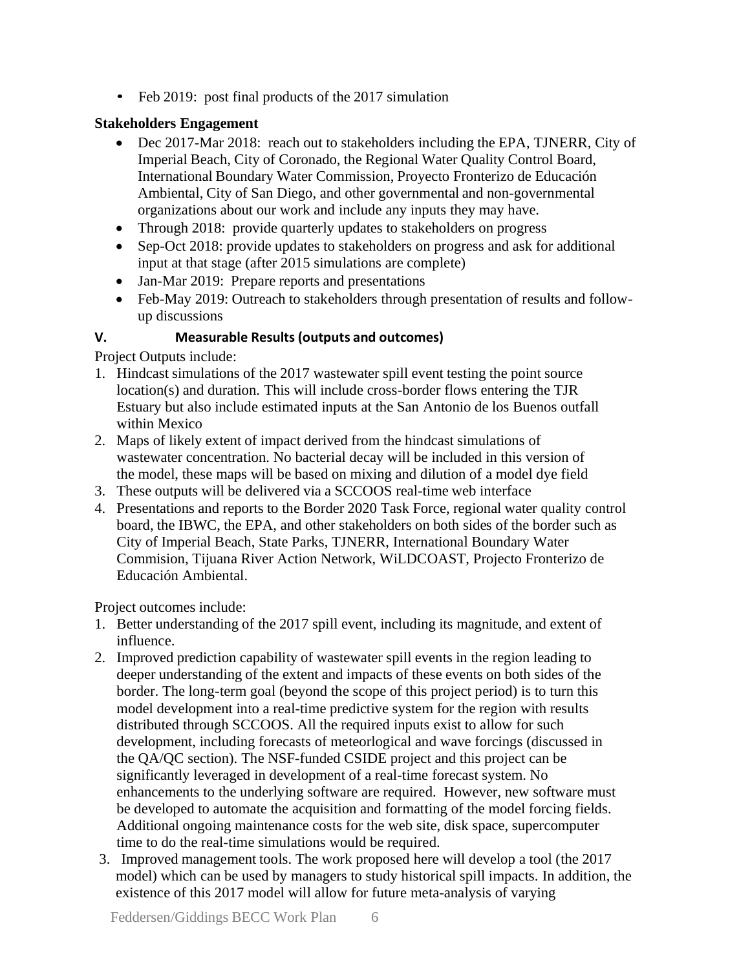• Feb 2019: post final products of the 2017 simulation

# **Stakeholders Engagement**

- Dec 2017-Mar 2018: reach out to stakeholders including the EPA, TJNERR, City of Imperial Beach, City of Coronado, the Regional Water Quality Control Board, International Boundary Water Commission, Proyecto Fronterizo de Educación Ambiental, City of San Diego, and other governmental and non-governmental organizations about our work and include any inputs they may have.
- Through 2018: provide quarterly updates to stakeholders on progress
- Sep-Oct 2018: provide updates to stakeholders on progress and ask for additional input at that stage (after 2015 simulations are complete)
- Jan-Mar 2019: Prepare reports and presentations
- Feb-May 2019: Outreach to stakeholders through presentation of results and followup discussions

### **V. Measurable Results (outputs and outcomes)**

Project Outputs include:

- 1. Hindcast simulations of the 2017 wastewater spill event testing the point source location(s) and duration. This will include cross-border flows entering the TJR Estuary but also include estimated inputs at the San Antonio de los Buenos outfall within Mexico
- 2. Maps of likely extent of impact derived from the hindcast simulations of wastewater concentration. No bacterial decay will be included in this version of the model, these maps will be based on mixing and dilution of a model dye field
- 3. These outputs will be delivered via a SCCOOS real-time web interface
- 4. Presentations and reports to the Border 2020 Task Force, regional water quality control board, the IBWC, the EPA, and other stakeholders on both sides of the border such as City of Imperial Beach, State Parks, TJNERR, International Boundary Water Commision, Tijuana River Action Network, WiLDCOAST, Projecto Fronterizo de Educación Ambiental.

Project outcomes include:

- 1. Better understanding of the 2017 spill event, including its magnitude, and extent of influence.
- 2. Improved prediction capability of wastewater spill events in the region leading to deeper understanding of the extent and impacts of these events on both sides of the border. The long-term goal (beyond the scope of this project period) is to turn this model development into a real-time predictive system for the region with results distributed through SCCOOS. All the required inputs exist to allow for such development, including forecasts of meteorlogical and wave forcings (discussed in the QA/QC section). The NSF-funded CSIDE project and this project can be significantly leveraged in development of a real-time forecast system. No enhancements to the underlying software are required. However, new software must be developed to automate the acquisition and formatting of the model forcing fields. Additional ongoing maintenance costs for the web site, disk space, supercomputer time to do the real-time simulations would be required.
- 3. Improved management tools. The work proposed here will develop a tool (the 2017 model) which can be used by managers to study historical spill impacts. In addition, the existence of this 2017 model will allow for future meta-analysis of varying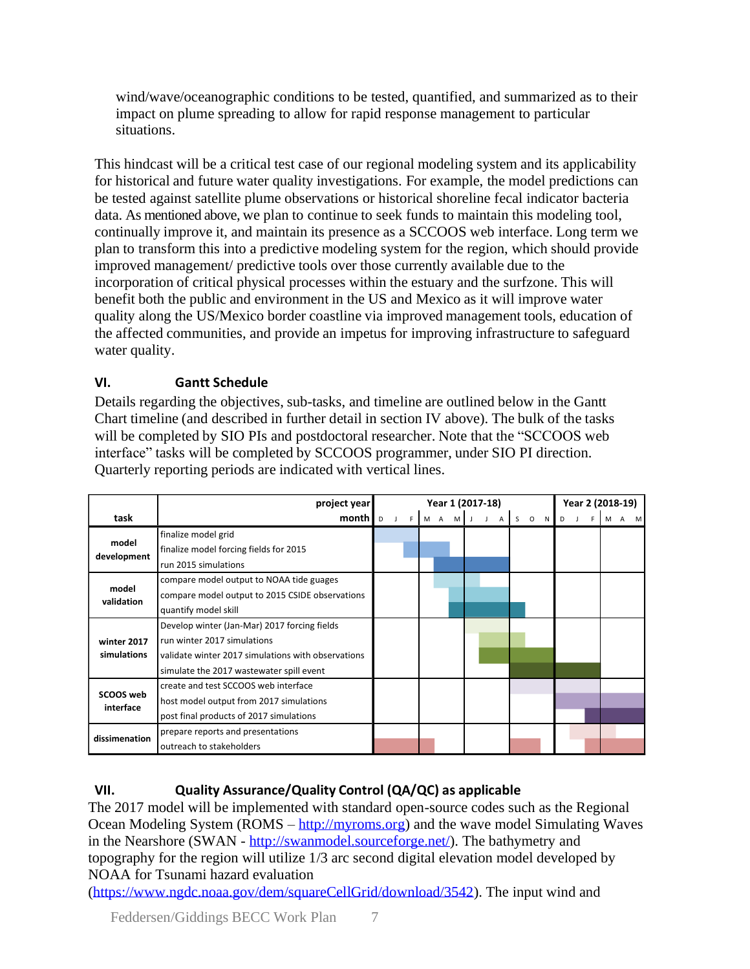wind/wave/oceanographic conditions to be tested, quantified, and summarized as to their impact on plume spreading to allow for rapid response management to particular situations.

This hindcast will be a critical test case of our regional modeling system and its applicability for historical and future water quality investigations. For example, the model predictions can be tested against satellite plume observations or historical shoreline fecal indicator bacteria data. As mentioned above, we plan to continue to seek funds to maintain this modeling tool, continually improve it, and maintain its presence as a SCCOOS web interface. Long term we plan to transform this into a predictive modeling system for the region, which should provide improved management/ predictive tools over those currently available due to the incorporation of critical physical processes within the estuary and the surfzone. This will benefit both the public and environment in the US and Mexico as it will improve water quality along the US/Mexico border coastline via improved management tools, education of the affected communities, and provide an impetus for improving infrastructure to safeguard water quality.

# **VI. Gantt Schedule**

Details regarding the objectives, sub-tasks, and timeline are outlined below in the Gantt Chart timeline (and described in further detail in section IV above). The bulk of the tasks will be completed by SIO PIs and postdoctoral researcher. Note that the "SCCOOS web interface" tasks will be completed by SCCOOS programmer, under SIO PI direction. Quarterly reporting periods are indicated with vertical lines.

|                            | project year                                       | Year 1 (2017-18) |  |  |             |  |  |  |  | Year 2 (2018-19) |  |   |                          |  |     |  |  |
|----------------------------|----------------------------------------------------|------------------|--|--|-------------|--|--|--|--|------------------|--|---|--------------------------|--|-----|--|--|
| task                       | month   D                                          | J F              |  |  | M A M J J A |  |  |  |  | S O N            |  | D | $\overline{\phantom{a}}$ |  | M A |  |  |
| model<br>development       | finalize model grid                                |                  |  |  |             |  |  |  |  |                  |  |   |                          |  |     |  |  |
|                            | finalize model forcing fields for 2015             |                  |  |  |             |  |  |  |  |                  |  |   |                          |  |     |  |  |
|                            | run 2015 simulations                               |                  |  |  |             |  |  |  |  |                  |  |   |                          |  |     |  |  |
| model<br>validation        | compare model output to NOAA tide guages           |                  |  |  |             |  |  |  |  |                  |  |   |                          |  |     |  |  |
|                            | compare model output to 2015 CSIDE observations    |                  |  |  |             |  |  |  |  |                  |  |   |                          |  |     |  |  |
|                            | quantify model skill                               |                  |  |  |             |  |  |  |  |                  |  |   |                          |  |     |  |  |
| winter 2017<br>simulations | Develop winter (Jan-Mar) 2017 forcing fields       |                  |  |  |             |  |  |  |  |                  |  |   |                          |  |     |  |  |
|                            | run winter 2017 simulations                        |                  |  |  |             |  |  |  |  |                  |  |   |                          |  |     |  |  |
|                            | validate winter 2017 simulations with observations |                  |  |  |             |  |  |  |  |                  |  |   |                          |  |     |  |  |
|                            | simulate the 2017 wastewater spill event           |                  |  |  |             |  |  |  |  |                  |  |   |                          |  |     |  |  |
| SCOOS web<br>interface     | create and test SCCOOS web interface               |                  |  |  |             |  |  |  |  |                  |  |   |                          |  |     |  |  |
|                            | host model output from 2017 simulations            |                  |  |  |             |  |  |  |  |                  |  |   |                          |  |     |  |  |
|                            | post final products of 2017 simulations            |                  |  |  |             |  |  |  |  |                  |  |   |                          |  |     |  |  |
| dissimenation              | prepare reports and presentations                  |                  |  |  |             |  |  |  |  |                  |  |   |                          |  |     |  |  |
|                            | outreach to stakeholders                           |                  |  |  |             |  |  |  |  |                  |  |   |                          |  |     |  |  |

# **VII. Quality Assurance/Quality Control (QA/QC) as applicable**

The 2017 model will be implemented with standard open-source codes such as the Regional Ocean Modeling System (ROMS – [http://myroms.org\)](http://myroms.org/) and the wave model Simulating Waves in the Nearshore (SWAN - [http://swanmodel.sourceforge.net/\)](http://swanmodel.sourceforge.net/). The bathymetry and topography for the region will utilize 1/3 arc second digital elevation model developed by NOAA for Tsunami hazard evaluation

[\(https://www.ngdc.noaa.gov/dem/squareCellGrid/download/3542\)](https://www.ngdc.noaa.gov/dem/squareCellGrid/download/3542). The input wind and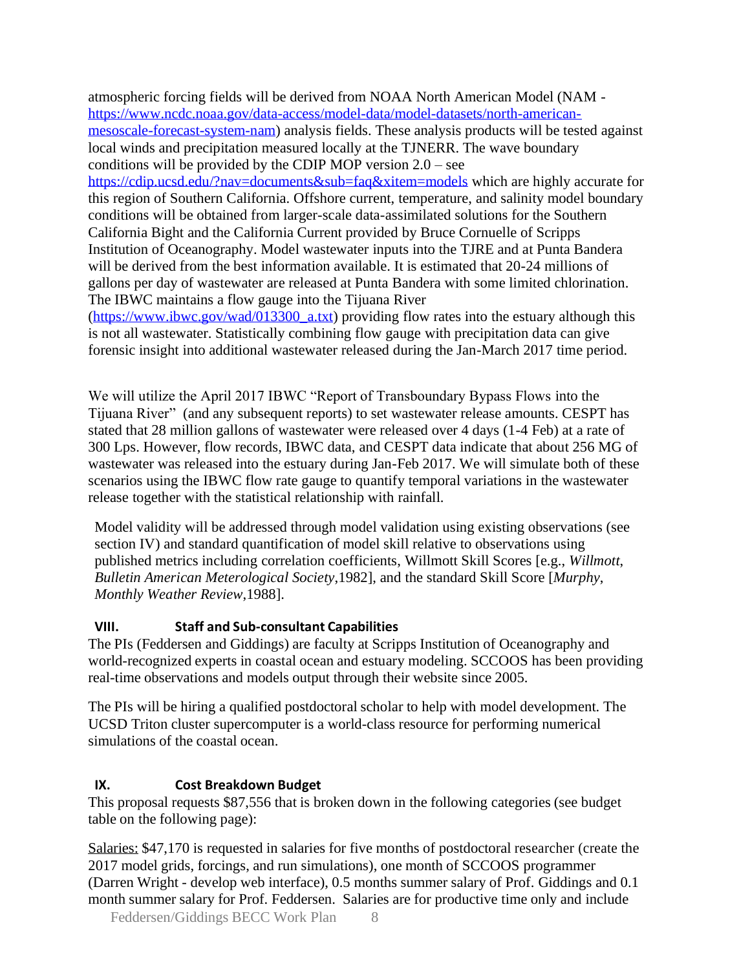atmospheric forcing fields will be derived from NOAA North American Model (NAM [https://www.ncdc.noaa.gov/data-access/model-data/model-datasets/north-american](https://www.ncdc.noaa.gov/data-access/model-data/model-datasets/north-american-mesoscale-forecast-system-nam)[mesoscale-forecast-system-nam\)](https://www.ncdc.noaa.gov/data-access/model-data/model-datasets/north-american-mesoscale-forecast-system-nam) analysis fields. These analysis products will be tested against local winds and precipitation measured locally at the TJNERR. The wave boundary conditions will be provided by the CDIP MOP version 2.0 – see

<https://cdip.ucsd.edu/?nav=documents&sub=faq&xitem=models> which are highly accurate for this region of Southern California. Offshore current, temperature, and salinity model boundary conditions will be obtained from larger-scale data-assimilated solutions for the Southern California Bight and the California Current provided by Bruce Cornuelle of Scripps Institution of Oceanography. Model wastewater inputs into the TJRE and at Punta Bandera will be derived from the best information available. It is estimated that 20-24 millions of gallons per day of wastewater are released at Punta Bandera with some limited chlorination. The IBWC maintains a flow gauge into the Tijuana River

[\(https://www.ibwc.gov/wad/013300\\_a.txt\)](https://www.ibwc.gov/wad/013300_a.txt) providing flow rates into the estuary although this is not all wastewater. Statistically combining flow gauge with precipitation data can give forensic insight into additional wastewater released during the Jan-March 2017 time period.

We will utilize the April 2017 IBWC "Report of Transboundary Bypass Flows into the Tijuana River" (and any subsequent reports) to set wastewater release amounts. CESPT has stated that 28 million gallons of wastewater were released over 4 days (1-4 Feb) at a rate of 300 Lps. However, flow records, IBWC data, and CESPT data indicate that about 256 MG of wastewater was released into the estuary during Jan-Feb 2017. We will simulate both of these scenarios using the IBWC flow rate gauge to quantify temporal variations in the wastewater release together with the statistical relationship with rainfall.

Model validity will be addressed through model validation using existing observations (see section IV) and standard quantification of model skill relative to observations using published metrics including correlation coefficients, Willmott Skill Scores [e.g., *Willmott*, *Bulletin American Meterological Society*,1982], and the standard Skill Score [*Murphy*, *Monthly Weather Review*,1988].

# **VIII. Staff and Sub-consultant Capabilities**

The PIs (Feddersen and Giddings) are faculty at Scripps Institution of Oceanography and world-recognized experts in coastal ocean and estuary modeling. SCCOOS has been providing real-time observations and models output through their website since 2005.

The PIs will be hiring a qualified postdoctoral scholar to help with model development. The UCSD Triton cluster supercomputer is a world-class resource for performing numerical simulations of the coastal ocean.

#### **IX. Cost Breakdown Budget**

This proposal requests \$87,556 that is broken down in the following categories (see budget table on the following page):

Salaries: \$47,170 is requested in salaries for five months of postdoctoral researcher (create the 2017 model grids, forcings, and run simulations), one month of SCCOOS programmer (Darren Wright - develop web interface), 0.5 months summer salary of Prof. Giddings and 0.1 month summer salary for Prof. Feddersen. Salaries are for productive time only and include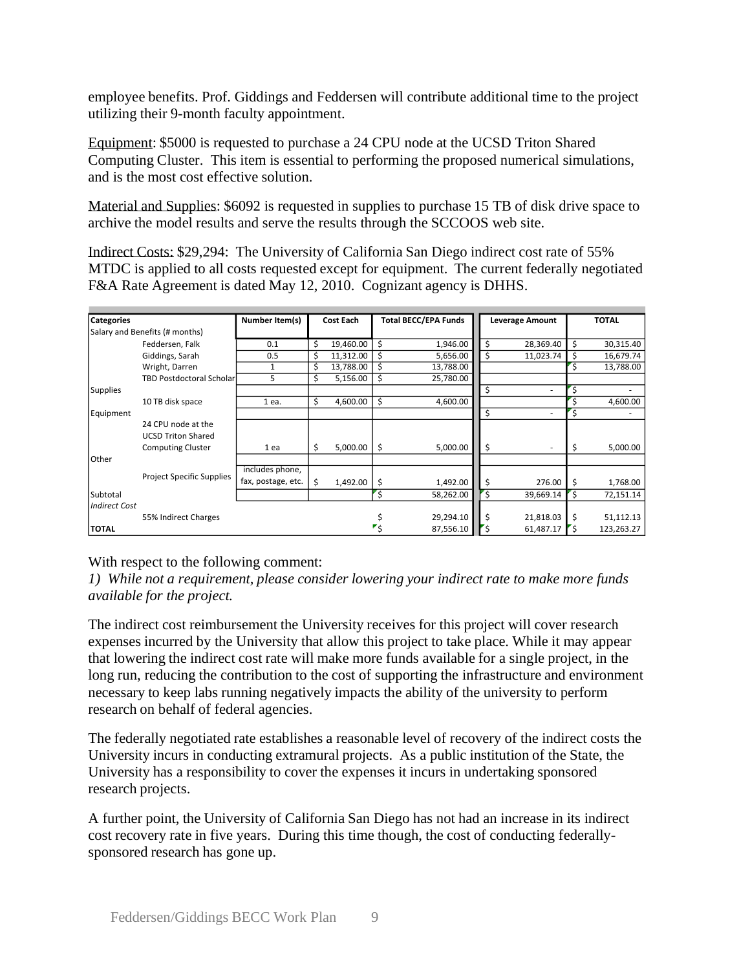employee benefits. Prof. Giddings and Feddersen will contribute additional time to the project utilizing their 9-month faculty appointment.

Equipment: \$5000 is requested to purchase a 24 CPU node at the UCSD Triton Shared Computing Cluster. This item is essential to performing the proposed numerical simulations, and is the most cost effective solution.

Material and Supplies: \$6092 is requested in supplies to purchase 15 TB of disk drive space to archive the model results and serve the results through the SCCOOS web site.

Indirect Costs: \$29,294: The University of California San Diego indirect cost rate of 55% MTDC is applied to all costs requested except for equipment. The current federally negotiated F&A Rate Agreement is dated May 12, 2010. Cognizant agency is DHHS.

| <b>Categories</b>              |                                 | Number Item(s)     |    | <b>Cost Each</b> |                           | <b>Total BECC/EPA Funds</b> |    | Leverage Amount |    | <b>TOTAL</b> |  |
|--------------------------------|---------------------------------|--------------------|----|------------------|---------------------------|-----------------------------|----|-----------------|----|--------------|--|
| Salary and Benefits (# months) |                                 |                    |    |                  |                           |                             |    |                 |    |              |  |
|                                | Feddersen, Falk                 | 0.1                | \$ | 19,460.00        | \$                        | 1,946.00                    | \$ | 28,369.40       | \$ | 30,315.40    |  |
|                                | Giddings, Sarah                 | 0.5                | \$ | 11,312.00        | Ś                         | 5,656.00                    | \$ | 11,023.74       | \$ | 16,679.74    |  |
|                                | Wright, Darren                  | 1                  | \$ | 13,788.00        | Ś                         | 13,788.00                   |    |                 | Ś  | 13,788.00    |  |
|                                | <b>TBD Postdoctoral Scholar</b> | 5                  | \$ | 5,156.00         | \$                        | 25,780.00                   |    |                 |    |              |  |
| <b>Supplies</b>                |                                 |                    |    |                  |                           |                             | Ś  | ٠               |    |              |  |
|                                | 10 TB disk space                | 1 ea.              | \$ | 4,600.00         | \$                        | 4,600.00                    |    |                 |    | 4,600.00     |  |
| Equipment                      |                                 |                    |    |                  |                           |                             | \$ | ٠               | Ś  |              |  |
|                                | 24 CPU node at the              |                    |    |                  |                           |                             |    |                 |    |              |  |
|                                | <b>UCSD Triton Shared</b>       |                    |    |                  |                           |                             |    |                 |    |              |  |
|                                | <b>Computing Cluster</b>        | 1 ea               | \$ | 5,000.00         | \$                        | 5,000.00                    | \$ | ٠               | \$ | 5,000.00     |  |
| Other                          |                                 |                    |    |                  |                           |                             |    |                 |    |              |  |
|                                |                                 | includes phone,    |    |                  |                           |                             |    |                 |    |              |  |
|                                | Project Specific Supplies       | fax, postage, etc. | \$ | 1,492.00         | \$                        | 1,492.00                    | \$ | 276.00          | \$ | 1,768.00     |  |
| Subtotal                       |                                 |                    |    |                  |                           | 58,262.00                   | Ŝ. | 39,669.14       | Ś  | 72,151.14    |  |
| <b>Indirect Cost</b>           |                                 |                    |    |                  |                           |                             |    |                 |    |              |  |
|                                | 55% Indirect Charges            |                    |    |                  |                           | 29,294.10                   | -S | 21,818.03       | Ś  | 51,112.13    |  |
| <b>TOTAL</b>                   |                                 |                    |    |                  | $\mathbf{r}_{\mathsf{S}}$ | 87,556.10                   |    | 61,487.17       |    | 123,263.27   |  |

#### With respect to the following comment:

*1) While not a requirement, please consider lowering your indirect rate to make more funds available for the project.*

The indirect cost reimbursement the University receives for this project will cover research expenses incurred by the University that allow this project to take place. While it may appear that lowering the indirect cost rate will make more funds available for a single project, in the long run, reducing the contribution to the cost of supporting the infrastructure and environment necessary to keep labs running negatively impacts the ability of the university to perform research on behalf of federal agencies.

The federally negotiated rate establishes a reasonable level of recovery of the indirect costs the University incurs in conducting extramural projects. As a public institution of the State, the University has a responsibility to cover the expenses it incurs in undertaking sponsored research projects.

A further point, the University of California San Diego has not had an increase in its indirect cost recovery rate in five years. During this time though, the cost of conducting federallysponsored research has gone up.